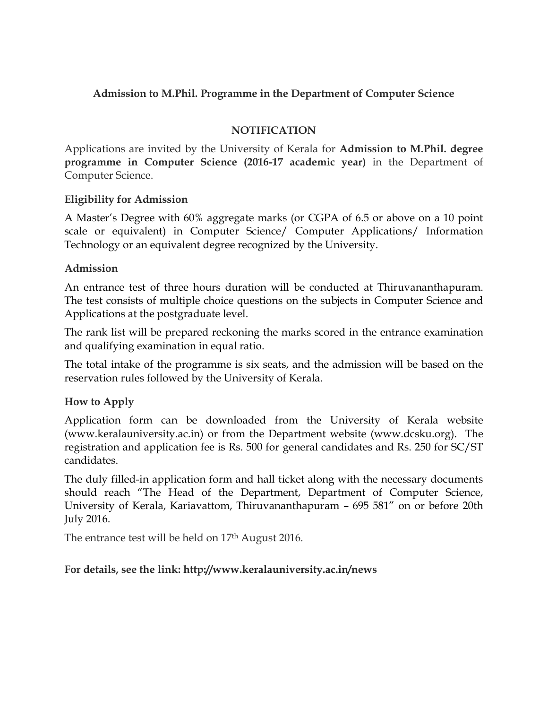# **Admission to M.Phil. Programme in the Department of Computer Science**

# **NOTIFICATION**

Applications are invited by the University of Kerala for **Admission to M.Phil. degree programme in Computer Science (2016-17 academic year)** in the Department of Computer Science.

#### **Eligibility for Admission**

A Master's Degree with 60% aggregate marks (or CGPA of 6.5 or above on a 10 point scale or equivalent) in Computer Science/ Computer Applications/ Information Technology or an equivalent degree recognized by the University.

# **Admission**

An entrance test of three hours duration will be conducted at Thiruvananthapuram. The test consists of multiple choice questions on the subjects in Computer Science and Applications at the postgraduate level.

The rank list will be prepared reckoning the marks scored in the entrance examination and qualifying examination in equal ratio.

The total intake of the programme is six seats, and the admission will be based on the reservation rules followed by the University of Kerala.

# **How to Apply**

Application form can be downloaded from the University of Kerala website (www.keralauniversity.ac.in) or from the Department website (www.dcsku.org). The registration and application fee is Rs. 500 for general candidates and Rs. 250 for SC/ST candidates.

The duly filled-in application form and hall ticket along with the necessary documents should reach "The Head of the Department, Department of Computer Science, University of Kerala, Kariavattom, Thiruvananthapuram – 695 581" on or before 20th July 2016.

The entrance test will be held on 17<sup>th</sup> August 2016.

#### **For details, see the link: http://www.keralauniversity.ac.in/news**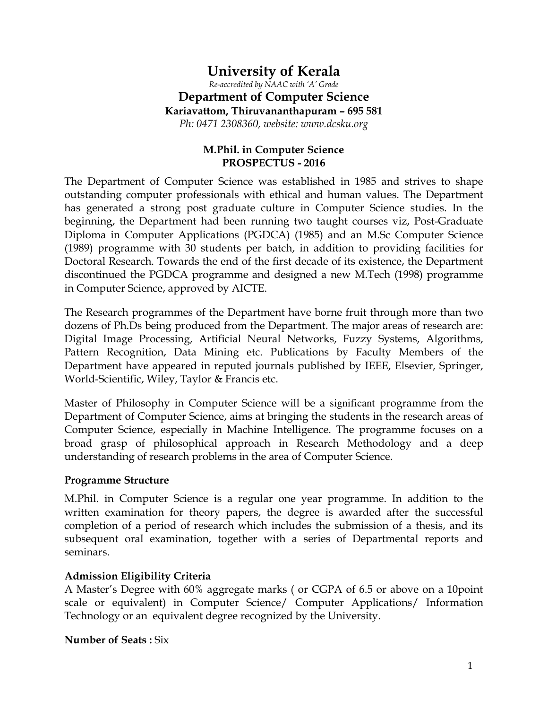# **University of Kerala**  *Re-accredited by NAAC with 'A' Grade*  **Department of Computer Science Kariavattom, Thiruvananthapuram – 695 581**  *Ph: 0471 2308360, website: www.dcsku.org*

# **M.Phil. in Computer Science PROSPECTUS - 2016**

The Department of Computer Science was established in 1985 and strives to shape outstanding computer professionals with ethical and human values. The Department has generated a strong post graduate culture in Computer Science studies. In the beginning, the Department had been running two taught courses viz, Post-Graduate Diploma in Computer Applications (PGDCA) (1985) and an M.Sc Computer Science (1989) programme with 30 students per batch, in addition to providing facilities for Doctoral Research. Towards the end of the first decade of its existence, the Department discontinued the PGDCA programme and designed a new M.Tech (1998) programme in Computer Science, approved by AICTE.

The Research programmes of the Department have borne fruit through more than two dozens of Ph.Ds being produced from the Department. The major areas of research are: Digital Image Processing, Artificial Neural Networks, Fuzzy Systems, Algorithms, Pattern Recognition, Data Mining etc. Publications by Faculty Members of the Department have appeared in reputed journals published by IEEE, Elsevier, Springer, World-Scientific, Wiley, Taylor & Francis etc.

Master of Philosophy in Computer Science will be a significant programme from the Department of Computer Science, aims at bringing the students in the research areas of Computer Science, especially in Machine Intelligence. The programme focuses on a broad grasp of philosophical approach in Research Methodology and a deep understanding of research problems in the area of Computer Science.

#### **Programme Structure**

M.Phil. in Computer Science is a regular one year programme. In addition to the written examination for theory papers, the degree is awarded after the successful completion of a period of research which includes the submission of a thesis, and its subsequent oral examination, together with a series of Departmental reports and seminars.

#### **Admission Eligibility Criteria**

A Master's Degree with 60% aggregate marks ( or CGPA of 6.5 or above on a 10point scale or equivalent) in Computer Science/ Computer Applications/ Information Technology or an equivalent degree recognized by the University.

**Number of Seats: Six**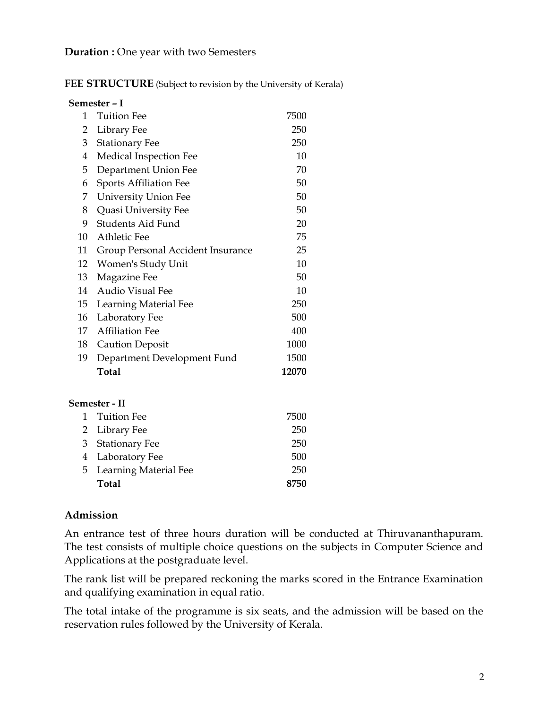#### **Duration :** One year with two Semesters

FEE STRUCTURE (Subject to revision by the University of Kerala)

|                  | Semester – I                      |       |
|------------------|-----------------------------------|-------|
| 1                | <b>Tuition Fee</b>                | 7500  |
| 2                | Library Fee                       | 250   |
| 3                | <b>Stationary Fee</b>             | 250   |
| 4                | <b>Medical Inspection Fee</b>     | 10    |
| 5                | Department Union Fee              | 70    |
| 6                | <b>Sports Affiliation Fee</b>     | 50    |
| 7                | <b>University Union Fee</b>       | 50    |
| 8                | Quasi University Fee              | 50    |
| 9                | Students Aid Fund                 | 20    |
| 10               | Athletic Fee                      | 75    |
| 11               | Group Personal Accident Insurance | 25    |
| 12               | Women's Study Unit                | 10    |
| 13               | Magazine Fee                      | 50    |
| 14               | <b>Audio Visual Fee</b>           | 10    |
| 15 <sup>15</sup> | Learning Material Fee             | 250   |
| 16               | Laboratory Fee                    | 500   |
| 17               | <b>Affiliation Fee</b>            | 400   |
| 18               | <b>Caution Deposit</b>            | 1000  |
| 19               | Department Development Fund       | 1500  |
|                  | <b>Total</b>                      | 12070 |
|                  | Semester - II                     |       |
| 1                | <b>Tuition Fee</b>                | 7500  |
| 2                | Library Fee                       | 250   |
| 3                | <b>Stationary Fee</b>             | 250   |
| $\overline{4}$   | Laboratory Fee                    | 500   |
| 5                | Learning Material Fee             | 250   |
|                  | <b>Total</b>                      | 8750  |

#### **Admission**

An entrance test of three hours duration will be conducted at Thiruvananthapuram. The test consists of multiple choice questions on the subjects in Computer Science and Applications at the postgraduate level.

The rank list will be prepared reckoning the marks scored in the Entrance Examination and qualifying examination in equal ratio.

The total intake of the programme is six seats, and the admission will be based on the reservation rules followed by the University of Kerala.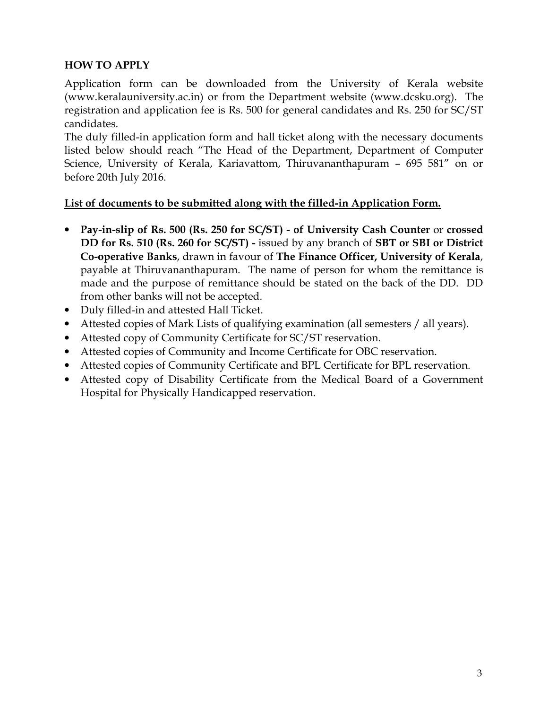# **HOW TO APPLY**

Application form can be downloaded from the University of Kerala website (www.keralauniversity.ac.in) or from the Department website (www.dcsku.org). The registration and application fee is Rs. 500 for general candidates and Rs. 250 for SC/ST candidates.

The duly filled-in application form and hall ticket along with the necessary documents listed below should reach "The Head of the Department, Department of Computer Science, University of Kerala, Kariavattom, Thiruvananthapuram – 695 581" on or before 20th July 2016.

# **List of documents to be submitted along with the filled-in Application Form.**

- **Pay-in-slip of Rs. 500 (Rs. 250 for SC/ST) of University Cash Counter** or **crossed DD for Rs. 510 (Rs. 260 for SC/ST) -** issued by any branch of **SBT or SBI or District Co-operative Banks**, drawn in favour of **The Finance Officer, University of Kerala**, payable at Thiruvananthapuram. The name of person for whom the remittance is made and the purpose of remittance should be stated on the back of the DD. DD from other banks will not be accepted.
- Duly filled-in and attested Hall Ticket.
- Attested copies of Mark Lists of qualifying examination (all semesters / all years).
- Attested copy of Community Certificate for SC/ST reservation.
- Attested copies of Community and Income Certificate for OBC reservation.
- Attested copies of Community Certificate and BPL Certificate for BPL reservation.
- Attested copy of Disability Certificate from the Medical Board of a Government Hospital for Physically Handicapped reservation.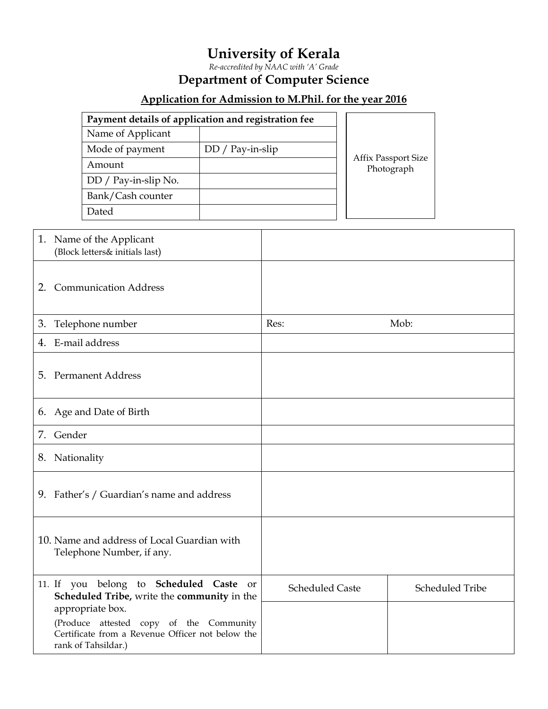# **University of Kerala**

*Re-accredited by NAAC with 'A' Grade* 

# **Department of Computer Science**

# **Application for Admission to M.Phil. for the year 2016**

| Payment details of application and registration fee |                    |                                          |
|-----------------------------------------------------|--------------------|------------------------------------------|
| Name of Applicant                                   |                    |                                          |
| Mode of payment                                     | $DD / Pay-in-slip$ |                                          |
| Amount                                              |                    | <b>Affix Passport Size</b><br>Photograph |
| DD / Pay-in-slip No.                                |                    |                                          |
| Bank/Cash counter                                   |                    |                                          |
| Dated                                               |                    |                                          |

|    | 1. Name of the Applicant<br>(Block letters& initials last)                             |                        |                        |
|----|----------------------------------------------------------------------------------------|------------------------|------------------------|
| 2. | <b>Communication Address</b>                                                           |                        |                        |
| 3. | Telephone number                                                                       | Res:                   | Mob:                   |
|    | 4. E-mail address                                                                      |                        |                        |
|    | 5. Permanent Address                                                                   |                        |                        |
|    | 6. Age and Date of Birth                                                               |                        |                        |
|    | 7. Gender                                                                              |                        |                        |
|    | 8. Nationality                                                                         |                        |                        |
|    | 9. Father's / Guardian's name and address                                              |                        |                        |
|    | 10. Name and address of Local Guardian with<br>Telephone Number, if any.               |                        |                        |
|    | 11. If you belong to Scheduled Caste or<br>Scheduled Tribe, write the community in the | <b>Scheduled Caste</b> | <b>Scheduled Tribe</b> |
|    | appropriate box.<br>(Produce attested copy of the Community                            |                        |                        |
|    | Certificate from a Revenue Officer not below the<br>rank of Tahsildar.)                |                        |                        |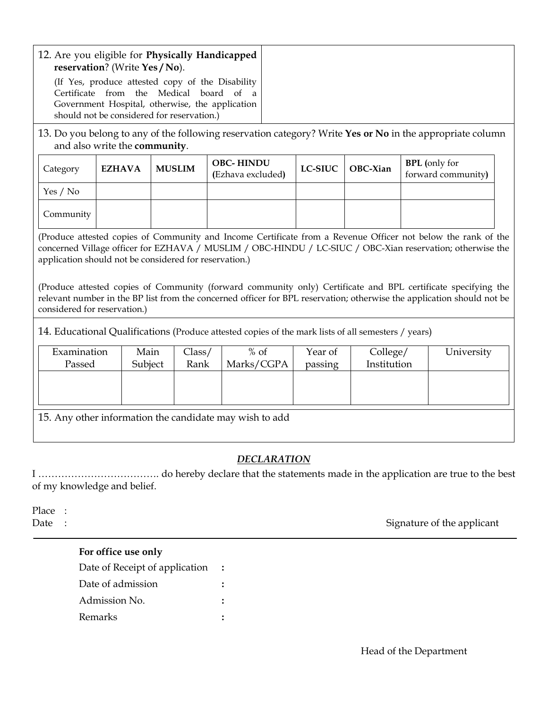| 12. Are you eligible for Physically Handicapped                                        | reservation? (Write Yes / No).<br>Certificate from the Medical board of<br>should not be considered for reservation.) |                | (If Yes, produce attested copy of the Disability<br><sub>a</sub><br>Government Hospital, otherwise, the application                                                                                                                                                                                                                                                                                                                                                   |  |                    |                         |                                            |            |  |
|----------------------------------------------------------------------------------------|-----------------------------------------------------------------------------------------------------------------------|----------------|-----------------------------------------------------------------------------------------------------------------------------------------------------------------------------------------------------------------------------------------------------------------------------------------------------------------------------------------------------------------------------------------------------------------------------------------------------------------------|--|--------------------|-------------------------|--------------------------------------------|------------|--|
|                                                                                        | and also write the community.                                                                                         |                | 13. Do you belong to any of the following reservation category? Write Yes or No in the appropriate column                                                                                                                                                                                                                                                                                                                                                             |  |                    |                         |                                            |            |  |
| Category                                                                               | <b>EZHAVA</b>                                                                                                         | <b>MUSLIM</b>  | <b>OBC-HINDU</b><br>(Ezhava excluded)                                                                                                                                                                                                                                                                                                                                                                                                                                 |  | <b>LC-SIUC</b>     | OBC-Xian                | <b>BPL</b> (only for<br>forward community) |            |  |
| Yes / No                                                                               |                                                                                                                       |                |                                                                                                                                                                                                                                                                                                                                                                                                                                                                       |  |                    |                         |                                            |            |  |
| Community                                                                              |                                                                                                                       |                |                                                                                                                                                                                                                                                                                                                                                                                                                                                                       |  |                    |                         |                                            |            |  |
| application should not be considered for reservation.)<br>considered for reservation.) |                                                                                                                       |                | (Produce attested copies of Community and Income Certificate from a Revenue Officer not below the rank of the<br>concerned Village officer for EZHAVA / MUSLIM / OBC-HINDU / LC-SIUC / OBC-Xian reservation; otherwise the<br>(Produce attested copies of Community (forward community only) Certificate and BPL certificate specifying the<br>relevant number in the BP list from the concerned officer for BPL reservation; otherwise the application should not be |  |                    |                         |                                            |            |  |
|                                                                                        |                                                                                                                       |                | 14. Educational Qualifications (Produce attested copies of the mark lists of all semesters / years)                                                                                                                                                                                                                                                                                                                                                                   |  |                    |                         |                                            |            |  |
| Examination<br>Passed                                                                  | Main<br>Subject                                                                                                       | Class/<br>Rank | $\frac{6}{6}$ of<br>Marks/CGPA                                                                                                                                                                                                                                                                                                                                                                                                                                        |  | Year of<br>passing | College/<br>Institution |                                            | University |  |
| 15. Any other information the candidate may wish to add                                |                                                                                                                       |                |                                                                                                                                                                                                                                                                                                                                                                                                                                                                       |  |                    |                         |                                            |            |  |
|                                                                                        | <b>DECLARATION</b>                                                                                                    |                |                                                                                                                                                                                                                                                                                                                                                                                                                                                                       |  |                    |                         |                                            |            |  |

I ………………………………. do hereby declare that the statements made in the application are true to the best of my knowledge and belief.

Place :

Date : Signature of the applicant

#### **For office use only**

| Date of Receipt of application |  |
|--------------------------------|--|
| Date of admission              |  |
| Admission No.                  |  |
| Remarks                        |  |